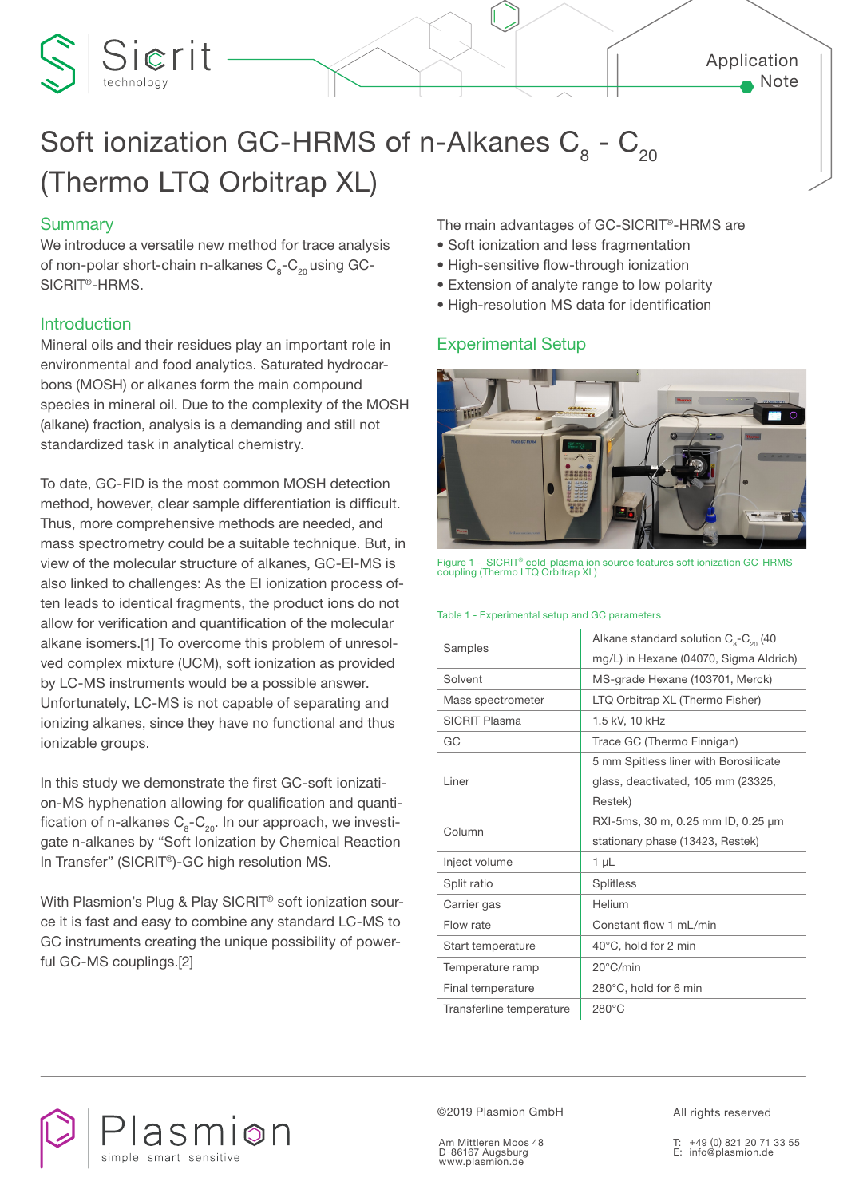## Application Note

# Soft ionization GC-HRMS of n-Alkanes  $C_8$  -  $C_{20}$ (Thermo LTQ Orbitrap XL)

## **Summary**

Sierit

We introduce a versatile new method for trace analysis of non-polar short-chain n-alkanes  $C_{2}$ - $C_{20}$  using GC-SICRIT®-HRMS.

## Introduction

Mineral oils and their residues play an important role in environmental and food analytics. Saturated hydrocarbons (MOSH) or alkanes form the main compound species in mineral oil. Due to the complexity of the MOSH (alkane) fraction, analysis is a demanding and still not standardized task in analytical chemistry.

To date, GC-FID is the most common MOSH detection method, however, clear sample differentiation is difficult. Thus, more comprehensive methods are needed, and mass spectrometry could be a suitable technique. But, in view of the molecular structure of alkanes, GC-EI-MS is also linked to challenges: As the EI ionization process often leads to identical fragments, the product ions do not allow for verification and quantification of the molecular alkane isomers.[1] To overcome this problem of unresolved complex mixture (UCM), soft ionization as provided by LC-MS instruments would be a possible answer. Unfortunately, LC-MS is not capable of separating and ionizing alkanes, since they have no functional and thus ionizable groups.

In this study we demonstrate the first GC-soft ionization-MS hyphenation allowing for qualification and quantification of n-alkanes  $C_8-C_{20}$ . In our approach, we investigate n-alkanes by "Soft Ionization by Chemical Reaction In Transfer" (SICRIT®)-GC high resolution MS.

With Plasmion's Plug & Play SICRIT® soft ionization source it is fast and easy to combine any standard LC-MS to GC instruments creating the unique possibility of powerful GC-MS couplings.[2]

The main advantages of GC-SICRIT®-HRMS are

- Soft ionization and less fragmentation
- High-sensitive flow-through ionization
- Extension of analyte range to low polarity
- High-resolution MS data for identification

## Experimental Setup



Figure 1 - SICRIT® cold-plasma ion source features soft ionization GC-HRMS coupling (Thermo LTQ Orbitrap XL)

#### Table 1 - Experimental setup and GC parameters

| Samples                  | Alkane standard solution $C_{\rm a}$ - $C_{\rm 20}$ (40 |  |  |
|--------------------------|---------------------------------------------------------|--|--|
|                          | mg/L) in Hexane (04070, Sigma Aldrich)                  |  |  |
| Solvent                  | MS-grade Hexane (103701, Merck)                         |  |  |
| Mass spectrometer        | LTQ Orbitrap XL (Thermo Fisher)                         |  |  |
| <b>SICRIT Plasma</b>     | 1.5 kV, 10 kHz                                          |  |  |
| GC                       | Trace GC (Thermo Finnigan)                              |  |  |
| Liner                    | 5 mm Spitless liner with Borosilicate                   |  |  |
|                          | glass, deactivated, 105 mm (23325,                      |  |  |
|                          | Restek)                                                 |  |  |
| Column                   | RXI-5ms, 30 m, 0.25 mm ID, 0.25 µm                      |  |  |
|                          | stationary phase (13423, Restek)                        |  |  |
| Inject volume            | $1 \mu L$                                               |  |  |
| Split ratio              | <b>Splitless</b>                                        |  |  |
| Carrier gas              | Helium                                                  |  |  |
| Flow rate                | Constant flow 1 mL/min                                  |  |  |
| Start temperature        | $40^{\circ}$ C, hold for 2 min                          |  |  |
| Temperature ramp         | 20°C/min                                                |  |  |
| Final temperature        | 280°C, hold for 6 min                                   |  |  |
| Transferline temperature | $280^{\circ}$ C                                         |  |  |



©2019 Plasmion GmbH

Am Mittleren Moos 48 D-86167 Augsburg www.plasmion.de

All rights reserved

T: +49 (0) 821 20 71 33 55 E: info@plasmion.de